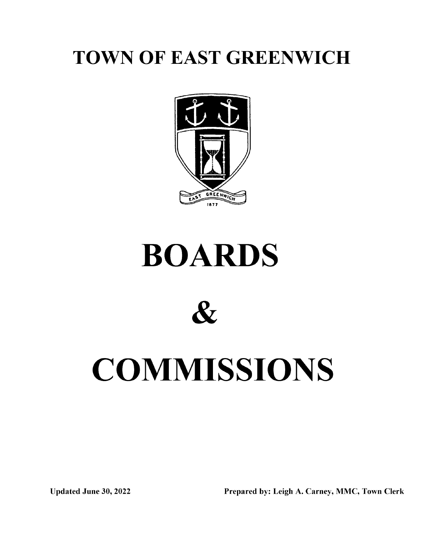## TOWN OF EAST GREENWICH



# BOARDS

 $\mathcal{R}_{I}$ 

# **COMMISSIONS**

Updated June 30, 2022 Prepared by: Leigh A. Carney, MMC, Town Clerk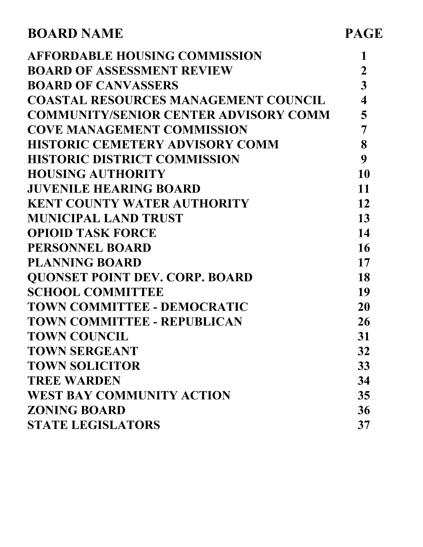| <b>AFFORDABLE HOUSING COMMISSION</b><br>$\overline{2}$<br><b>BOARD OF ASSESSMENT REVIEW</b><br>3<br><b>BOARD OF CANVASSERS</b><br>$\overline{\mathbf{4}}$<br><b>COASTAL RESOURCES MANAGEMENT COUNCIL</b><br>5<br><b>COMMUNITY/SENIOR CENTER ADVISORY COMM</b><br><b>COVE MANAGEMENT COMMISSION</b><br>7<br>8<br><b>HISTORIC CEMETERY ADVISORY COMM</b><br><b>HISTORIC DISTRICT COMMISSION</b><br>9<br>10<br><b>HOUSING AUTHORITY</b><br>11<br><b>JUVENILE HEARING BOARD</b><br><b>KENT COUNTY WATER AUTHORITY</b><br>12<br>13<br><b>MUNICIPAL LAND TRUST</b><br>14<br><b>OPIOID TASK FORCE</b><br>16<br><b>PERSONNEL BOARD</b><br><b>PLANNING BOARD</b><br>17<br><b>QUONSET POINT DEV. CORP. BOARD</b><br>18<br><b>SCHOOL COMMITTEE</b><br>19<br>TOWN COMMITTEE - DEMOCRATIC<br><b>20</b><br>TOWN COMMITTEE - REPUBLICAN<br>26<br><b>TOWN COUNCIL</b><br>31<br><b>TOWN SERGEANT</b><br>32<br><b>TOWN SOLICITOR</b><br>33<br><b>TREE WARDEN</b><br>34<br><b>WEST BAY COMMUNITY ACTION</b><br>35<br><b>ZONING BOARD</b><br>36<br><b>STATE LEGISLATORS</b><br>37 | <b>BOARD NAME</b> | <b>PAGE</b> |
|---------------------------------------------------------------------------------------------------------------------------------------------------------------------------------------------------------------------------------------------------------------------------------------------------------------------------------------------------------------------------------------------------------------------------------------------------------------------------------------------------------------------------------------------------------------------------------------------------------------------------------------------------------------------------------------------------------------------------------------------------------------------------------------------------------------------------------------------------------------------------------------------------------------------------------------------------------------------------------------------------------------------------------------------------------------|-------------------|-------------|
|                                                                                                                                                                                                                                                                                                                                                                                                                                                                                                                                                                                                                                                                                                                                                                                                                                                                                                                                                                                                                                                               |                   |             |
|                                                                                                                                                                                                                                                                                                                                                                                                                                                                                                                                                                                                                                                                                                                                                                                                                                                                                                                                                                                                                                                               |                   |             |
|                                                                                                                                                                                                                                                                                                                                                                                                                                                                                                                                                                                                                                                                                                                                                                                                                                                                                                                                                                                                                                                               |                   |             |
|                                                                                                                                                                                                                                                                                                                                                                                                                                                                                                                                                                                                                                                                                                                                                                                                                                                                                                                                                                                                                                                               |                   |             |
|                                                                                                                                                                                                                                                                                                                                                                                                                                                                                                                                                                                                                                                                                                                                                                                                                                                                                                                                                                                                                                                               |                   |             |
|                                                                                                                                                                                                                                                                                                                                                                                                                                                                                                                                                                                                                                                                                                                                                                                                                                                                                                                                                                                                                                                               |                   |             |
|                                                                                                                                                                                                                                                                                                                                                                                                                                                                                                                                                                                                                                                                                                                                                                                                                                                                                                                                                                                                                                                               |                   |             |
|                                                                                                                                                                                                                                                                                                                                                                                                                                                                                                                                                                                                                                                                                                                                                                                                                                                                                                                                                                                                                                                               |                   |             |
|                                                                                                                                                                                                                                                                                                                                                                                                                                                                                                                                                                                                                                                                                                                                                                                                                                                                                                                                                                                                                                                               |                   |             |
|                                                                                                                                                                                                                                                                                                                                                                                                                                                                                                                                                                                                                                                                                                                                                                                                                                                                                                                                                                                                                                                               |                   |             |
|                                                                                                                                                                                                                                                                                                                                                                                                                                                                                                                                                                                                                                                                                                                                                                                                                                                                                                                                                                                                                                                               |                   |             |
|                                                                                                                                                                                                                                                                                                                                                                                                                                                                                                                                                                                                                                                                                                                                                                                                                                                                                                                                                                                                                                                               |                   |             |
|                                                                                                                                                                                                                                                                                                                                                                                                                                                                                                                                                                                                                                                                                                                                                                                                                                                                                                                                                                                                                                                               |                   |             |
|                                                                                                                                                                                                                                                                                                                                                                                                                                                                                                                                                                                                                                                                                                                                                                                                                                                                                                                                                                                                                                                               |                   |             |
|                                                                                                                                                                                                                                                                                                                                                                                                                                                                                                                                                                                                                                                                                                                                                                                                                                                                                                                                                                                                                                                               |                   |             |
|                                                                                                                                                                                                                                                                                                                                                                                                                                                                                                                                                                                                                                                                                                                                                                                                                                                                                                                                                                                                                                                               |                   |             |
|                                                                                                                                                                                                                                                                                                                                                                                                                                                                                                                                                                                                                                                                                                                                                                                                                                                                                                                                                                                                                                                               |                   |             |
|                                                                                                                                                                                                                                                                                                                                                                                                                                                                                                                                                                                                                                                                                                                                                                                                                                                                                                                                                                                                                                                               |                   |             |
|                                                                                                                                                                                                                                                                                                                                                                                                                                                                                                                                                                                                                                                                                                                                                                                                                                                                                                                                                                                                                                                               |                   |             |
|                                                                                                                                                                                                                                                                                                                                                                                                                                                                                                                                                                                                                                                                                                                                                                                                                                                                                                                                                                                                                                                               |                   |             |
|                                                                                                                                                                                                                                                                                                                                                                                                                                                                                                                                                                                                                                                                                                                                                                                                                                                                                                                                                                                                                                                               |                   |             |
|                                                                                                                                                                                                                                                                                                                                                                                                                                                                                                                                                                                                                                                                                                                                                                                                                                                                                                                                                                                                                                                               |                   |             |
|                                                                                                                                                                                                                                                                                                                                                                                                                                                                                                                                                                                                                                                                                                                                                                                                                                                                                                                                                                                                                                                               |                   |             |
|                                                                                                                                                                                                                                                                                                                                                                                                                                                                                                                                                                                                                                                                                                                                                                                                                                                                                                                                                                                                                                                               |                   |             |
|                                                                                                                                                                                                                                                                                                                                                                                                                                                                                                                                                                                                                                                                                                                                                                                                                                                                                                                                                                                                                                                               |                   |             |
|                                                                                                                                                                                                                                                                                                                                                                                                                                                                                                                                                                                                                                                                                                                                                                                                                                                                                                                                                                                                                                                               |                   |             |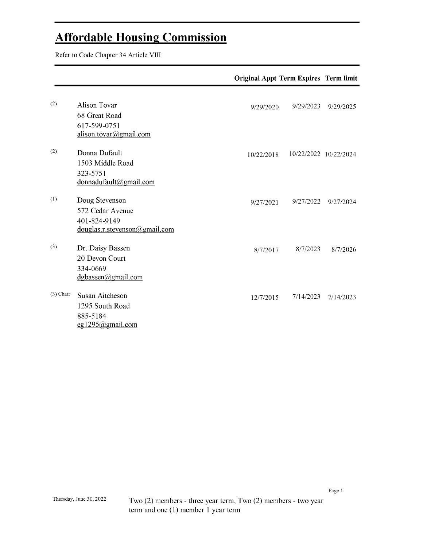### Affordable Housing Commission

Refer to Code Chapter 34 Article VIII

|             |                                                                                          | <b>Original Appt Term Expires Term limit</b> |           |                       |
|-------------|------------------------------------------------------------------------------------------|----------------------------------------------|-----------|-----------------------|
| (2)         | <b>Alison Tovar</b><br>68 Great Road                                                     | 9/29/2020                                    | 9/29/2023 | 9/29/2025             |
| (2)         | 617-599-0751<br>alison.tovar@gmail.com<br>Donna Dufault<br>1503 Middle Road<br>323-5751  | 10/22/2018                                   |           | 10/22/2022 10/22/2024 |
| (1)         | donnadufault@gmail.com<br>Doug Stevenson<br>572 Cedar Avenue<br>401-824-9149             | 9/27/2021                                    | 9/27/2022 | 9/27/2024             |
| (3)         | douglas.r.stevenson@gmail.com<br>Dr. Daisy Bassen<br>20 Devon Court<br>334-0669          | 8/7/2017                                     | 8/7/2023  | 8/7/2026              |
| $(3)$ Chair | dgbassen@gmail.com<br>Susan Aitcheson<br>1295 South Road<br>885-5184<br>eg1295@gmail.com | 12/7/2015                                    | 7/14/2023 | 7/14/2023             |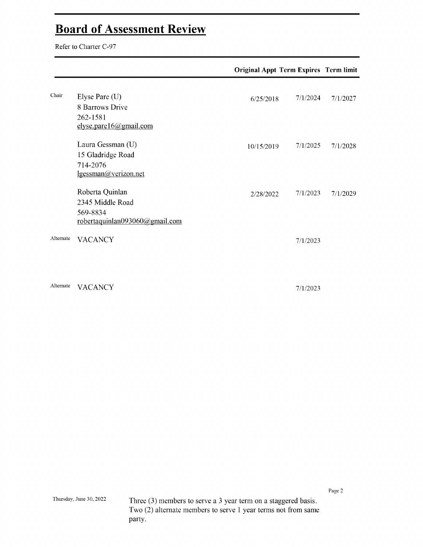# Board of Assessment Review Refer to Charter C-97

| Chair<br>Elyse Pare (U)<br>8 Barrows Drive<br>262-1581<br>elyse.pare16@gmail.com<br>Laura Gessman (U)<br>15 Gladridge Road<br>714-2076<br>lgessman@verizon.net<br>Roberta Quinlan<br>2345 Middle Road<br>569-8834 | <b>Original Appt Term Expires Term limit</b> |            |          |          |
|-------------------------------------------------------------------------------------------------------------------------------------------------------------------------------------------------------------------|----------------------------------------------|------------|----------|----------|
|                                                                                                                                                                                                                   |                                              | 6/25/2018  | 7/1/2024 | 7/1/2027 |
|                                                                                                                                                                                                                   |                                              | 10/15/2019 | 7/1/2025 | 7/1/2028 |
|                                                                                                                                                                                                                   | robertaquinlan093060@gmail.com               | 2/28/2022  | 7/1/2023 | 7/1/2029 |
| Alternate                                                                                                                                                                                                         | <b>VACANCY</b>                               |            | 7/1/2023 |          |
| Alternate                                                                                                                                                                                                         | <b>VACANCY</b>                               |            | 7/1/2023 |          |

Page  $2\,$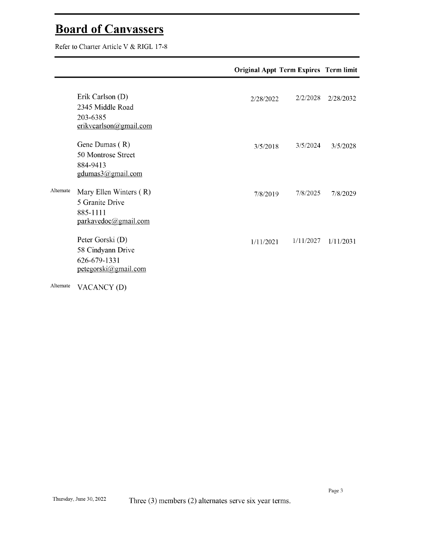## Dout a VI Canvassers<br>Boforto Cherter Article V & DICI 17. 20

|           |                                                                                                 | <b>Original Appt Term Expires Term limit</b> |           |           |
|-----------|-------------------------------------------------------------------------------------------------|----------------------------------------------|-----------|-----------|
|           | Erik Carlson (D)<br>2345 Middle Road<br>203-6385                                                | 2/28/2022                                    | 2/2/2028  | 2/28/2032 |
|           | erikvcarlson@gmail.com<br>Gene Dumas (R)<br>50 Montrose Street<br>884-9413<br>gdumas3@gmail.com | 3/5/2018                                     | 3/5/2024  | 3/5/2028  |
| Alternate | Mary Ellen Winters (R)<br>5 Granite Drive<br>885-1111<br>parkavedoc@gmail.com                   | 7/8/2019                                     | 7/8/2025  | 7/8/2029  |
|           | Peter Gorski (D)<br>58 Cindyann Drive<br>626-679-1331<br>petegorski@gmail.com                   | 1/11/2021                                    | 1/11/2027 | 1/11/2031 |
| Alternate | VACANCY (D)                                                                                     |                                              |           |           |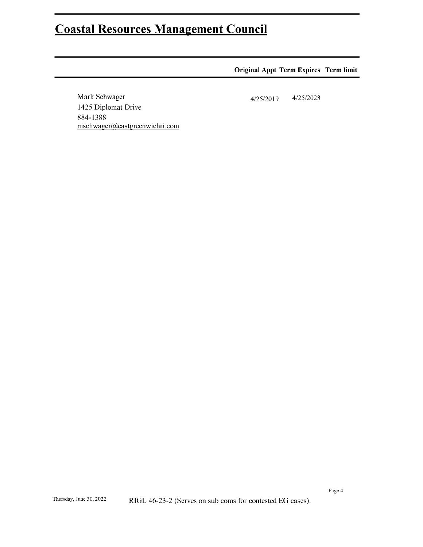### **Coastal Resources Management Council**

### **Original Appt Term Expires Term limit**

Mark Schwager 1425 Diplomat Drive 884-1388 mschwager@eastgreenwichri.com

 $4/25/2023$ 4/25/2019

Page  $4\,$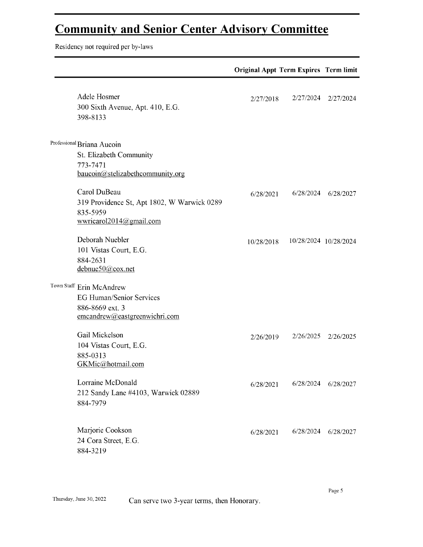# Community and Senior Center Advisory Committee Residency not required per by-laws

|                                                                                                                 | <b>Original Appt Term Expires Term limit</b> |                       |                     |
|-----------------------------------------------------------------------------------------------------------------|----------------------------------------------|-----------------------|---------------------|
| Adele Hosmer<br>300 Sixth Avenue, Apt. 410, E.G.<br>398-8133                                                    | 2/27/2018                                    | 2/27/2024             | 2/27/2024           |
| Professional Briana Aucoin<br>St. Elizabeth Community<br>773-7471<br>baucoin@stelizabethcommunity.org           |                                              |                       |                     |
| Carol DuBeau<br>319 Providence St, Apt 1802, W Warwick 0289<br>835-5959<br>wwricarol2014@gmail.com              | 6/28/2021                                    |                       | 6/28/2024 6/28/2027 |
| Deborah Nuebler<br>101 Vistas Court, E.G.<br>884-2631<br>debnue50@cox.net                                       | 10/28/2018                                   | 10/28/2024 10/28/2024 |                     |
| Town Staff Erin McAndrew<br><b>EG Human/Senior Services</b><br>886-8669 ext. 3<br>emcandrew@eastgreenwichri.com |                                              |                       |                     |
| Gail Mickelson<br>104 Vistas Court, E.G.<br>885-0313<br>GKMic@hotmail.com                                       | 2/26/2019                                    | 2/26/2025             | 2/26/2025           |
| Lorraine McDonald<br>212 Sandy Lane #4103, Warwick 02889<br>884-7979                                            | 6/28/2021                                    | 6/28/2024             | 6/28/2027           |
| Marjorie Cookson<br>24 Cora Street, E.G.<br>884-3219                                                            | 6/28/2021                                    | 6/28/2024             | 6/28/2027           |

Page  $5\,$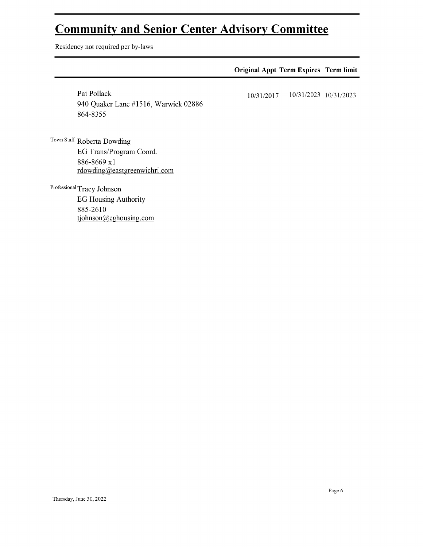# **Community and Senior Center Advisory Committee**<br>Residency not required per by-laws

|                                                                 | <b>Original Appt Term Expires Term limit</b> |                       |
|-----------------------------------------------------------------|----------------------------------------------|-----------------------|
| Pat Pollack<br>940 Quaker Lane #1516, Warwick 02886<br>864-8355 | 10/31/2017                                   | 10/31/2023 10/31/2023 |
| Town Staff Roberta Dowding                                      |                                              |                       |
| EG Trans/Program Coord.                                         |                                              |                       |
| 886-8669 x1                                                     |                                              |                       |
| $r$ dowding@eastgreenwichri.com                                 |                                              |                       |
| Professional Tracy Johnson                                      |                                              |                       |
| <b>EG Housing Authority</b>                                     |                                              |                       |
| 885-2610                                                        |                                              |                       |
| tjohnson@eghousing.com                                          |                                              |                       |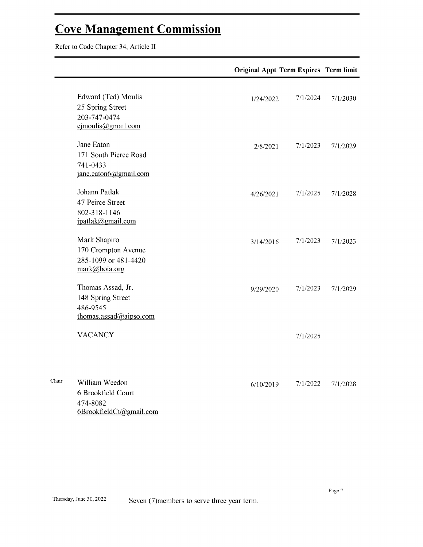$\Gamma$ 

|                                                                                      | <b>Original Appt Term Expires Term limit</b> |          |
|--------------------------------------------------------------------------------------|----------------------------------------------|----------|
| Edward (Ted) Moulis<br>25 Spring Street<br>203-747-0474<br>ejmoulis@gmail.com        | 7/1/2024<br>1/24/2022                        | 7/1/2030 |
| Jane Eaton<br>171 South Pierce Road<br>741-0433<br>jane.eaton6@gmail.com             | 7/1/2023<br>2/8/2021                         | 7/1/2029 |
| Johann Patlak<br>47 Peirce Street<br>802-318-1146<br>jpatlak@gmail.com               | 7/1/2025<br>4/26/2021                        | 7/1/2028 |
| Mark Shapiro<br>170 Crompton Avenue<br>285-1099 or 481-4420<br>mark@boia.org         | 7/1/2023<br>3/14/2016                        | 7/1/2023 |
| Thomas Assad, Jr.<br>148 Spring Street<br>486-9545<br>thomas.assad@aipso.com         | 7/1/2023<br>9/29/2020                        | 7/1/2029 |
| <b>VACANCY</b>                                                                       | 7/1/2025                                     |          |
| Chair<br>William Weedon<br>6 Brookfield Court<br>474-8082<br>6BrookfieldCt@gmail.com | 7/1/2022<br>6/10/2019                        | 7/1/2028 |

Page  $7\,$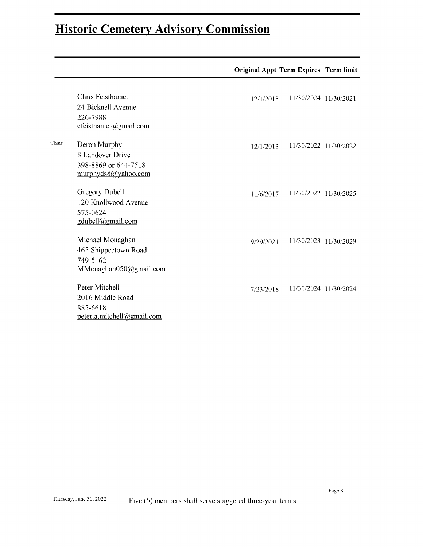### Historic Cemetery Advisory Commission

|       |                                                                                                | <b>Original Appt Term Expires Term limit</b> |                       |  |
|-------|------------------------------------------------------------------------------------------------|----------------------------------------------|-----------------------|--|
|       | Chris Feisthamel<br>24 Bicknell Avenue<br>226-7988                                             | 12/1/2013                                    | 11/30/2024 11/30/2021 |  |
| Chair | cfeisthamel@gmail.com<br>Deron Murphy<br>8 Landover Drive<br>398-8869 or 644-7518              | 12/1/2013                                    | 11/30/2022 11/30/2022 |  |
|       | murphyds8@yahoo.com<br>Gregory Dubell<br>120 Knollwood Avenue<br>575-0624<br>gdubell@gmail.com | 11/6/2017                                    | 11/30/2022 11/30/2025 |  |
|       | Michael Monaghan<br>465 Shippeetown Road<br>749-5162<br>MMonaghan050@gmail.com                 | 9/29/2021                                    | 11/30/2023 11/30/2029 |  |
|       | Peter Mitchell<br>2016 Middle Road<br>885-6618<br>peter.a.mitchell@gmail.com                   | 7/23/2018                                    | 11/30/2024 11/30/2024 |  |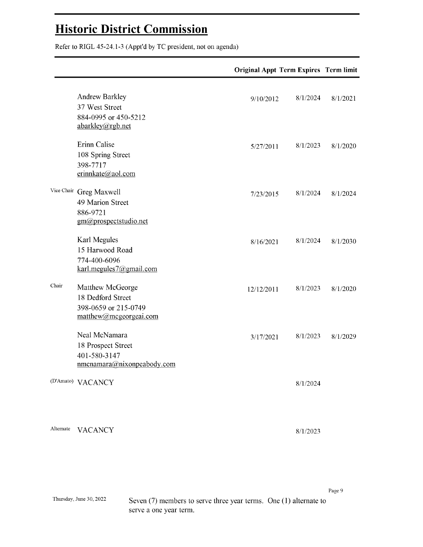# **Historic District Commission**<br>Refer to RIGL 45-24.1-3 (Appt'd by TC president, not on agenda)

|       |                                                                                         | <b>Original Appt Term Expires Term limit</b> |          |
|-------|-----------------------------------------------------------------------------------------|----------------------------------------------|----------|
|       | <b>Andrew Barkley</b><br>37 West Street<br>884-0995 or 450-5212<br>abarkley@rgb.net     | 8/1/2024<br>9/10/2012                        | 8/1/2021 |
|       | Erinn Calise<br>108 Spring Street<br>398-7717<br>erinnkate@aol.com                      | 8/1/2023<br>5/27/2011                        | 8/1/2020 |
|       | Vice Chair Greg Maxwell<br>49 Marion Street<br>886-9721<br>gm@prospectstudio.net        | 8/1/2024<br>7/23/2015                        | 8/1/2024 |
|       | Karl Megules<br>15 Harwood Road<br>774-400-6096<br>karl.megules7@gmail.com              | 8/1/2024<br>8/16/2021                        | 8/1/2030 |
| Chair | Matthew McGeorge<br>18 Dedford Street<br>398-0659 or 215-0749<br>matthew@mcgeorgeai.com | 8/1/2023<br>12/12/2011                       | 8/1/2020 |
|       | Neal McNamara<br>18 Prospect Street<br>401-580-3147<br>nmcnamara@nixonpeabody.com       | 8/1/2023<br>3/17/2021                        | 8/1/2029 |
|       | (D'Amato) VACANCY                                                                       | 8/1/2024                                     |          |

Alternate VACANCY

 $8/1/2023$ 

Seven (7) members to serve three year terms. One (1) alternate to serve a one year term.

Page 9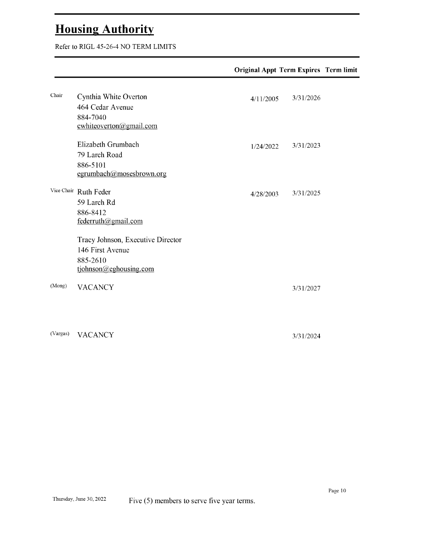$T_{\text{S}}$  and  $T_{\text{S}}$  and  $T_{\text{S}}$  and  $T_{\text{S}}$  and  $T_{\text{S}}$  members to  $T_{\text{S}}$  members to  $T_{\text{S}}$  and  $T_{\text{S}}$  members to  $T_{\text{S}}$  and  $T_{\text{S}}$  members to  $T_{\text{S}}$  and  $T_{\text{S}}$  members to  $T_{\text{S}}$  and  $T_{\$ 

| 4/11/2005 | 3/31/2026 |  |
|-----------|-----------|--|
|           |           |  |
| 1/24/2022 | 3/31/2023 |  |
| 4/28/2003 | 3/31/2025 |  |
|           |           |  |
|           | 3/31/2027 |  |
|           |           |  |

(Vargas) VACANCY

3/31/2024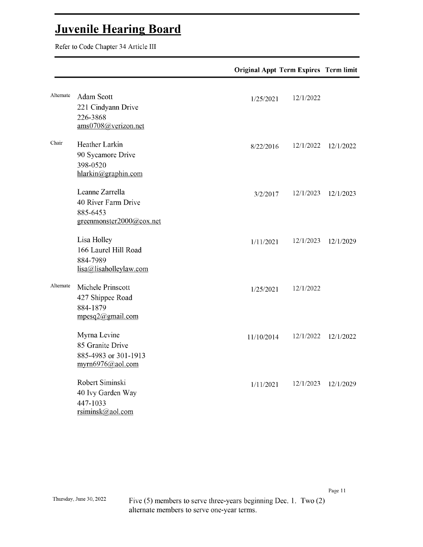$\frac{1}{\sqrt{1-\frac{1}{\sqrt{1-\frac{1}{\sqrt{1-\frac{1}{\sqrt{1-\frac{1}{\sqrt{1-\frac{1}{\sqrt{1-\frac{1}{\sqrt{1-\frac{1}{\sqrt{1-\frac{1}{\sqrt{1-\frac{1}{\sqrt{1-\frac{1}{\sqrt{1-\frac{1}{\sqrt{1-\frac{1}{\sqrt{1-\frac{1}{\sqrt{1-\frac{1}{\sqrt{1-\frac{1}{\sqrt{1-\frac{1}{\sqrt{1-\frac{1}{\sqrt{1-\frac{1}{\sqrt{1-\frac{1}{\sqrt{1-\frac{1}{\sqrt{1-\frac{1}{\sqrt{1-\frac{1}{\sqrt{1-\frac{1}{\sqrt{1-\frac{1$ 

|           |                                                                                | <b>Original Appt Term Expires Term limit</b> |           |
|-----------|--------------------------------------------------------------------------------|----------------------------------------------|-----------|
| Alternate | Adam Scott<br>221 Cindyann Drive<br>226-3868<br>ams0708@verizon.net            | 12/1/2022<br>1/25/2021                       |           |
| Chair     | Heather Larkin<br>90 Sycamore Drive<br>398-0520<br>hlarkin@graphin.com         | 12/1/2022<br>8/22/2016                       | 12/1/2022 |
|           | Leanne Zarrella<br>40 River Farm Drive<br>885-6453<br>greenmonster2000@cox.net | 12/1/2023<br>3/2/2017                        | 12/1/2023 |
|           | Lisa Holley<br>166 Laurel Hill Road<br>884-7989<br>lisa@lisaholleylaw.com      | 12/1/2023<br>1/11/2021                       | 12/1/2029 |
| Alternate | Michele Prinscott<br>427 Shippee Road<br>884-1879<br>mpesq2@gmail.com          | 12/1/2022<br>1/25/2021                       |           |
|           | Myrna Levine<br>85 Granite Drive<br>885-4983 or 301-1913<br>myrn6976@aol.com   | 12/1/2022<br>11/10/2014                      | 12/1/2022 |
|           | Robert Siminski<br>40 Ivy Garden Way<br>447-1033<br>rsiminsk@aol.com           | 12/1/2023<br>1/11/2021                       | 12/1/2029 |

Five  $(5)$  members to serve three-years beginning Dec. 1. Two  $(2)$ alternate members to serve one-year terms.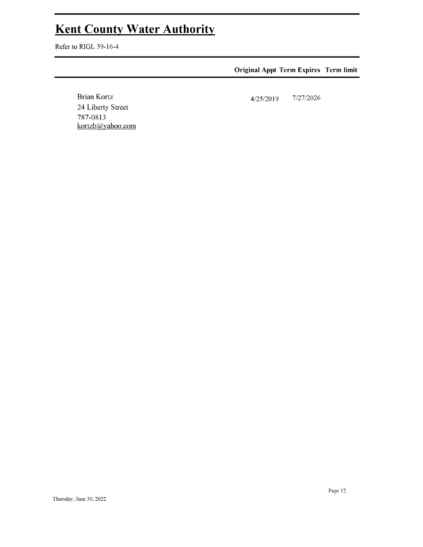# Kent County Water Authority<br>Refer to RIGL 39-16-4

### **Original Appt Term Expires Term limit**

**Brian Kortz** 24 Liberty Street 787-0813 kortzb@yahoo.com

 $7/27/2026$  $4/25/2019$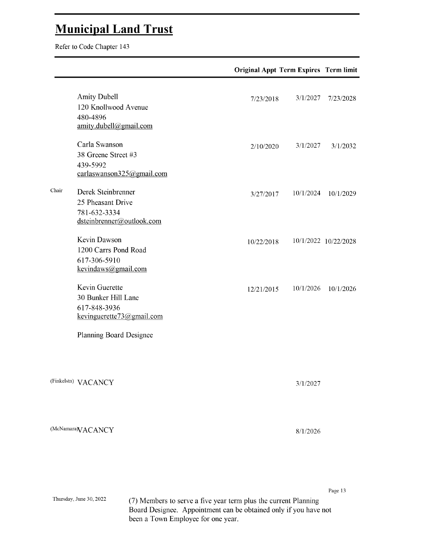## Thursday, Municipal June 30, 2022 Land Trust 7, 2022 Land Trust 7, 2022 Land Trust 7, 2022 Land Trust 7, 2022 Land Trust 7, 2022 Land Trust 7, 2022 Land Trust 7, 2022 Land Trust 7, 2022 Land Trust 7, 2022 Land Trust 7, 202

Thursday, June 30, 2022

|       |                                                                                      | <b>Original Appt Term Expires Term limit</b> |           |                      |
|-------|--------------------------------------------------------------------------------------|----------------------------------------------|-----------|----------------------|
|       | <b>Amity Dubell</b><br>120 Knollwood Avenue<br>480-4896<br>amity.dubell@gmail.com    | 7/23/2018                                    | 3/1/2027  | 7/23/2028            |
|       | Carla Swanson<br>38 Greene Street #3<br>439-5992<br>carlaswanson325@gmail.com        | 2/10/2020                                    | 3/1/2027  | 3/1/2032             |
| Chair | Derek Steinbrenner<br>25 Pheasant Drive<br>781-632-3334<br>dsteinbrenner@outlook.com | 3/27/2017                                    | 10/1/2024 | 10/1/2029            |
|       | Kevin Dawson<br>1200 Carrs Pond Road<br>617-306-5910<br>kevindaws@gmail.com          | 10/22/2018                                   |           | 10/1/2022 10/22/2028 |
|       | Kevin Guerette<br>30 Bunker Hill Lane<br>617-848-3936<br>kevinguerette73@gmail.com   | 12/21/2015                                   | 10/1/2026 | 10/1/2026            |
|       | <b>Planning Board Designee</b>                                                       |                                              |           |                      |
|       | (Finkelstn) VACANCY                                                                  |                                              | 3/1/2027  |                      |
|       | (McNamara VACANCY                                                                    |                                              | 8/1/2026  |                      |
|       |                                                                                      |                                              |           |                      |
|       |                                                                                      |                                              |           | Page 13              |

(7) Members to serve a five year term plus the current Planning Board Designee. Appointment can be obtained only if you have not been a Town Employee for one year.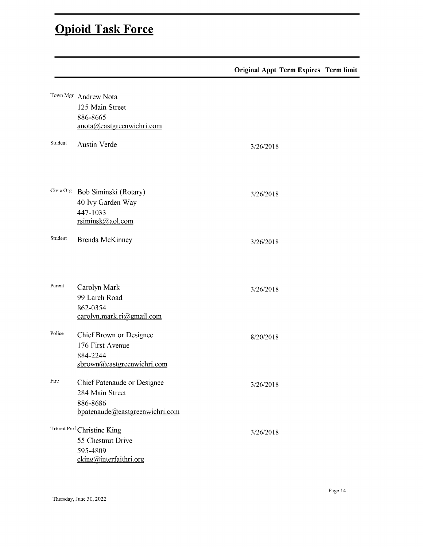### **Opioid Task Force**

|         |                                                                                              | <b>Original Appt Term Expires Term limit</b> |  |
|---------|----------------------------------------------------------------------------------------------|----------------------------------------------|--|
|         | Town Mgr Andrew Nota<br>125 Main Street<br>886-8665<br>anota@eastgreenwichri.com             |                                              |  |
| Student | Austin Verde                                                                                 | 3/26/2018                                    |  |
|         | Civic Org Bob Siminski (Rotary)<br>40 Ivy Garden Way<br>447-1033<br>rsiminsk@aol.com         | 3/26/2018                                    |  |
| Student | <b>Brenda McKinney</b>                                                                       | 3/26/2018                                    |  |
| Parent  | Carolyn Mark<br>99 Larch Road<br>862-0354<br>carolyn.mark.ri@gmail.com                       | 3/26/2018                                    |  |
| Police  | Chief Brown or Designee<br>176 First Avenue<br>884-2244<br>sbrown@eastgreenwichri.com        | 8/20/2018                                    |  |
| Fire    | Chief Patenaude or Designee<br>284 Main Street<br>886-8686<br>bpatenaude@eastgreenwichri.com | 3/26/2018                                    |  |
|         | Trtmnt Prof Christine King<br>55 Chestnut Drive<br>595-4809<br>cking@interfaithri.org        | 3/26/2018                                    |  |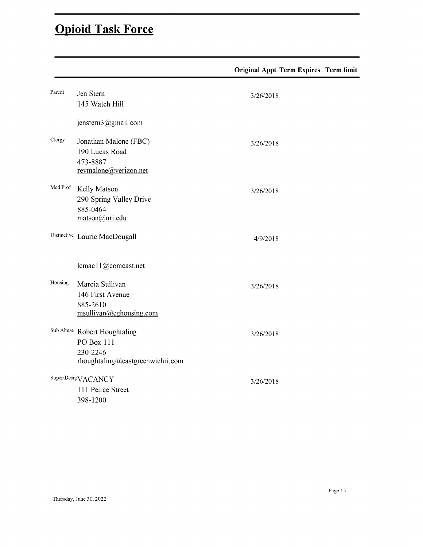### **Opioid Task Force**

|          |                                                                                            | <b>Original Appt Term Expires Term limit</b> |  |
|----------|--------------------------------------------------------------------------------------------|----------------------------------------------|--|
| Parent   | Jen Stern<br>145 Watch Hill                                                                | 3/26/2018                                    |  |
|          | jenstern3@gmail.com                                                                        |                                              |  |
| Clergy   | Jonathan Malone (FBC)<br>190 Lucas Road<br>473-8887<br>revmalone@verizon.net               | 3/26/2018                                    |  |
| Med Prof | Kelly Matson<br>290 Spring Valley Drive<br>885-0464<br>matson@uri.edu                      | 3/26/2018                                    |  |
|          | Distinctive Laurie MacDougall                                                              | 4/9/2018                                     |  |
|          | lcmac11@comcast.net                                                                        |                                              |  |
| Housing  | Marcia Sullivan<br>146 First Avenue<br>885-2610<br>msullivan@eghousing.com                 | 3/26/2018                                    |  |
|          | Sub Abuse Robert Houghtaling<br>PO Box 111<br>230-2246<br>rhoughtaling@eastgreenwichri.com | 3/26/2018                                    |  |
|          | Super/DesigVACANCY<br>111 Peirce Street<br>398-1200                                        | 3/26/2018                                    |  |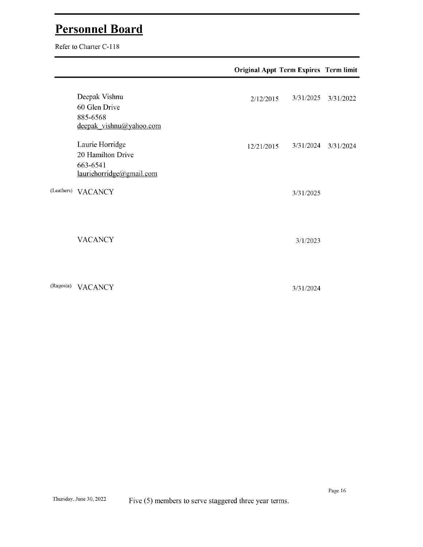$T_{\text{eff}}$  and  $T_{\text{eff}}$  and  $T_{\text{eff}}$  and  $T_{\text{eff}}$  are  $T_{\text{eff}}$  to  $T_{\text{eff}}$  or  $T_{\text{eff}}$  and  $T_{\text{eff}}$  are  $T_{\text{eff}}$  and  $T_{\text{eff}}$  are  $T_{\text{eff}}$  and  $T_{\text{eff}}$  are  $T_{\text{eff}}$  and  $T_{\text{eff}}$  are  $T_{\text{eff}}$  and  $T_{\text{eff}}$  are

|           |                                                                              | <b>Original Appt Term Expires Term limit</b> |           |           |  |
|-----------|------------------------------------------------------------------------------|----------------------------------------------|-----------|-----------|--|
|           | Deepak Vishnu<br>60 Glen Drive<br>885-6568<br>deepak_vishnu@yahoo.com        | 2/12/2015                                    | 3/31/2025 | 3/31/2022 |  |
|           | Laurie Horridge<br>20 Hamilton Drive<br>663-6541<br>lauriehorridge@gmail.com | 12/21/2015                                   | 3/31/2024 | 3/31/2024 |  |
|           | (Leathers) VACANCY                                                           |                                              | 3/31/2025 |           |  |
|           | <b>VACANCY</b>                                                               |                                              | 3/1/2023  |           |  |
| (Ragosta) | <b>VACANCY</b>                                                               |                                              | 3/31/2024 |           |  |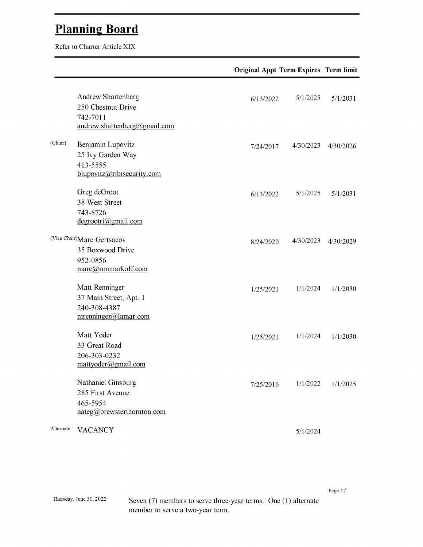$T_{\text{other}}$  and  $T_{\text{other}}$  and  $T_{\text{other}}$  and  $T_{\text{other}}$  arternates to  $T_{\text{other}}$  and  $T_{\text{other}}$  articles.  $T_{\text{other}}$ 

|           |                                                                                      | <b>Original Appt Term Expires Term limit</b> |           |           |
|-----------|--------------------------------------------------------------------------------------|----------------------------------------------|-----------|-----------|
|           | Andrew Shartenberg<br>250 Chestnut Drive<br>742-7011<br>andrew.shartenberg@gmail.com | 6/13/2022                                    | 5/1/2025  | 5/1/2031  |
| (Chair)   | Benjamin Lupovitz<br>25 Ivy Garden Way<br>413-5555<br>blupovitz@ribisecurity.com     | 7/24/2017                                    | 4/30/2023 | 4/30/2026 |
|           | Greg deGroot<br>38 West Street<br>743-8726<br>degrootri(a)gmail.com                  | 6/13/2022                                    | 5/1/2025  | 5/1/2031  |
|           | (Vice Chair)Marc Gertsacov<br>35 Boxwood Drive<br>952-0856<br>marc@ronmarkoff.com    | 8/24/2020                                    | 4/30/2023 | 4/30/2029 |
|           | Matt Renninger<br>37 Main Street, Apt. 1<br>240-308-4387<br>mrenninger@lamar.com     | 1/25/2021                                    | 1/1/2024  | 1/1/2030  |
|           | Matt Yoder<br>33 Great Road<br>206-303-0232<br>mattyoder@gmail.com                   | 1/25/2021                                    | 1/1/2024  | 1/1/2030  |
|           | Nathaniel Ginsburg<br>285 First Avenue<br>465-5954<br>nateg@brewsterthornton.com     | 7/25/2016                                    | 1/1/2022  | 1/1/2025  |
| Alternate | <b>VACANCY</b>                                                                       |                                              | 5/1/2024  |           |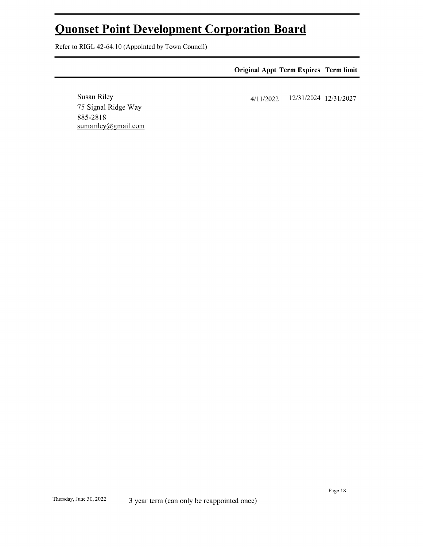### Quonset Point Development Corporation Board

Refer to RIGL 42-64.10 (Appointed by Town Council)

75 Signal Ridge Way

sumariley@gmail.com

Susan Riley

885-2818

| <b>Original Appt Term Expires Term limit</b> |                       |  |
|----------------------------------------------|-----------------------|--|
| 4/11/2022                                    | 12/31/2024 12/31/2027 |  |
|                                              |                       |  |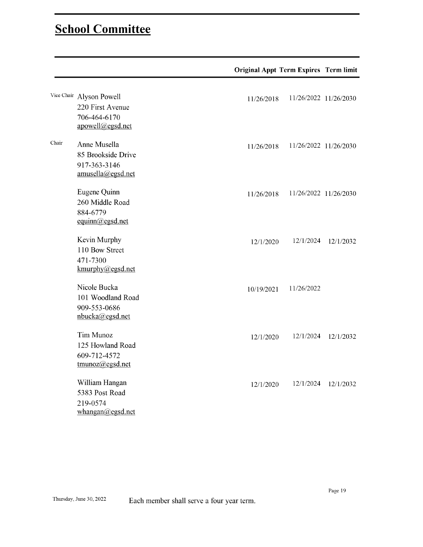## Thursday, School June 30, 2022Committee Each member shall serve afour years afour years afour years afour year<br>Thursday, School June 30, 2022Committee Each member shall serve afour years afour years afour years afour year

|       |                                                                                  | <b>Original Appt Term Expires Term limit</b> |                       |
|-------|----------------------------------------------------------------------------------|----------------------------------------------|-----------------------|
|       | Vice Chair Alyson Powell<br>220 First Avenue<br>706-464-6170<br>apowell@egsd.net | 11/26/2018                                   | 11/26/2022 11/26/2030 |
| Chair | Anne Musella<br>85 Brookside Drive<br>917-363-3146<br>amusella@egsd.net          | 11/26/2018                                   | 11/26/2022 11/26/2030 |
|       | Eugene Quinn<br>260 Middle Road<br>884-6779<br>equinn@egsd.net                   | 11/26/2018                                   | 11/26/2022 11/26/2030 |
|       | Kevin Murphy<br>110 Bow Street<br>471-7300<br>kmurphy@egsd.net                   | 12/1/2024<br>12/1/2020                       | 12/1/2032             |
|       | Nicole Bucka<br>101 Woodland Road<br>909-553-0686<br>nbucka@egsd.net             | 11/26/2022<br>10/19/2021                     |                       |
|       | Tim Munoz<br>125 Howland Road<br>609-712-4572<br>tmunoz@egsd.net                 | 12/1/2024<br>12/1/2020                       | 12/1/2032             |
|       | William Hangan<br>5383 Post Road<br>219-0574<br>whangan@egsd.net                 | 12/1/2024<br>12/1/2020                       | 12/1/2032             |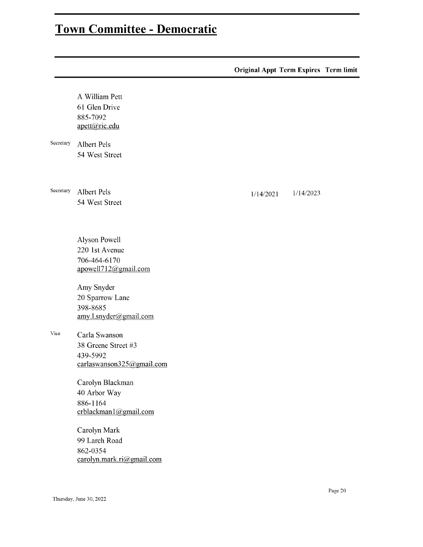|           |                                                                                    | <b>Original Appt Term Expires Term limit</b> |           |  |
|-----------|------------------------------------------------------------------------------------|----------------------------------------------|-----------|--|
| Secretary | A William Pett<br>61 Glen Drive<br>885-7092<br>apett@ric.edu<br><b>Albert Pels</b> |                                              |           |  |
|           | 54 West Street                                                                     |                                              |           |  |
| Secretary | <b>Albert Pels</b><br>54 West Street                                               | 1/14/2021                                    | 1/14/2023 |  |
|           | Alyson Powell<br>220 1st Avenue<br>706-464-6170<br>apowell712@gmail.com            |                                              |           |  |
|           | Amy Snyder<br>20 Sparrow Lane<br>398-8685<br>amy.l.snyder@gmail.com                |                                              |           |  |
| Vice      | Carla Swanson<br>38 Greene Street #3<br>439-5992<br>carlaswanson325@gmail.com      |                                              |           |  |
|           | Carolyn Blackman<br>40 Arbor Way<br>886-1164<br>crblackman1@gmail.com              |                                              |           |  |
|           | Carolyn Mark<br>99 Larch Road<br>862-0354<br>carolyn.mark.ri@gmail.com             |                                              |           |  |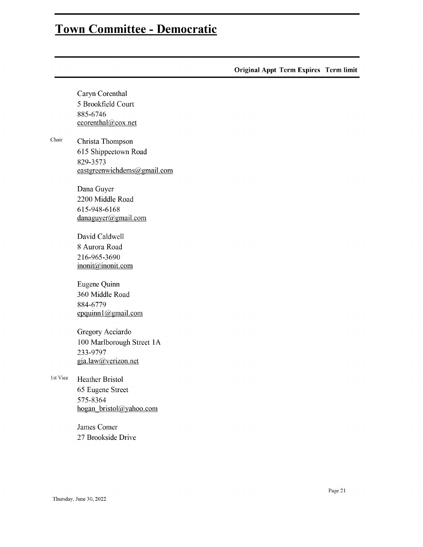**Original Appt Term Expires Term limit** 

Caryn Corenthal 5 Brookfield Court 885-6746  $ccorenta@cox.net$  ${\it Chair}$ ccorenthal@cox.nethogan\_bristol@yahoo.comgja.law@verizon.netepquinn1@gmail.cominonit@inonit.comdanaguyer@gmail.comeastgreenwichdems@gmail. com 615 Shippeetown Road 829-3573 eastgreenwichdems@gmail.com Dana Guyer 2200 Middle Road 615-948-6168  $d$ anaguyer@gmail.com David Caldwell 8 Aurora Road 216-965-3690 inonit@inonit.com Eugene Quinn 360 Middle Road 884-6779 epquinn1@gmail.com Gregory Acciardo 100 Marlborough Street 1A 233-9797 gja.law@verizon.net 1st Vice **Heather Bristol** 65 Eugene Street 575-8364 hogan bristol@yahoo.com James Comer 27 Brookside Drive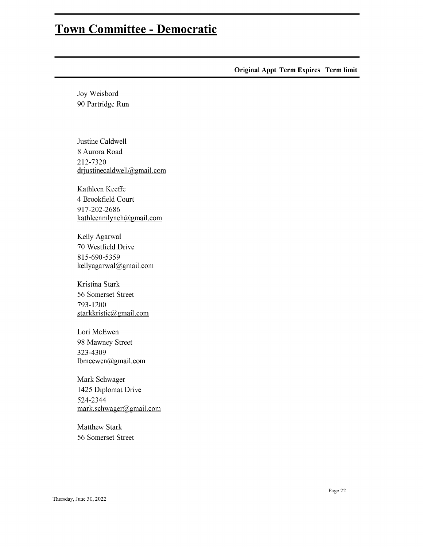**Original Appt Term Expires Term limit** 

Joy Weisbord 90 Partridge Run

Justine Caldwell 8 Aurora Road 212-7320 drjustinecaldwell@gmail.com

Kathleen Keeffe 4 Brookfield Court 917-202-2686 kathleenmlynch@gmail.com

Kelly Agarwal 70 Westfield Drive 815-690-5359 kellyagarwal@gmail.com

Kristina Stark 56 Somerset Street 793-1200 starkkristie@gmail.com

Lori McEwen 98 Mawney Street 323-4309 lbmcewen@gmail.com

Mark Schwager 1425 Diplomat Drive 524-2344 mark.schwager@gmail.com

**Matthew Stark** 56 Somerset Street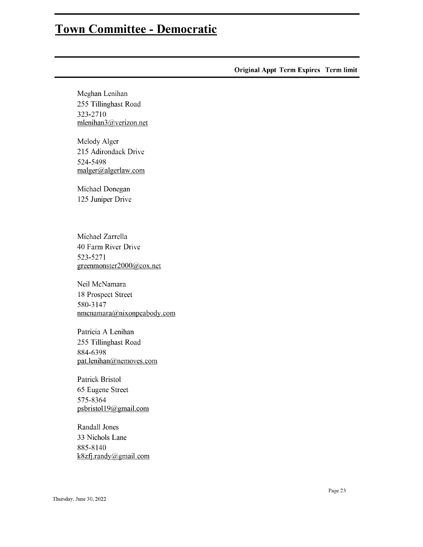**Original Appt Term Expires Term limit** 

Meghan Lenihan 255 Tillinghast Road 323-2710 mlenihan3@verizon.net

Melody Alger 215 Adirondack Drive 524-5498 malger@algerlaw.com

Michael Donegan 125 Juniper Drive

Michael Zarrella 40 Farm River Drive 523-5271 greenmonster2000@cox.net

Neil McNamara 18 Prospect Street 580-3147 nmcnamara@nixonpeabody.com

Patricia A Lenihan 255 Tillinghast Road 884-6398 pat.lenihan@nemoves.com

Patrick Bristol 65 Eugene Street 575-8364 psbristol19@gmail.com

Randall Jones 33 Nichols Lane 885-8140 k8zfj.randy@gmail.com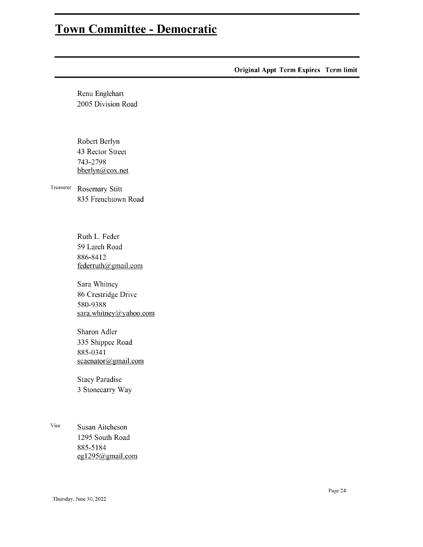**Original Appt Term Expires Term limit** Renu Englehart 2005 Division Road Robert Berlyn 43 Rector Street 743-2798 bberlyn@cox.net  $\operatorname{\sf Treasure}$ Rosemary Stitt 835 Frenchtown Road Ruth L. Feder 59 Larch Road 886-8412 federruth@gmail.com Sara Whitney 86 Crestridge Drive 580-9388 sara.whitney@yahoo.com Sharon Adler 335 Shippee Road 885-0341 scaenator@gmail.com **Stacy Paradise** 3 Stonecarry Way

Vice Susan Aitcheson 1295 South Road 885-5184 eg1295@gmail.com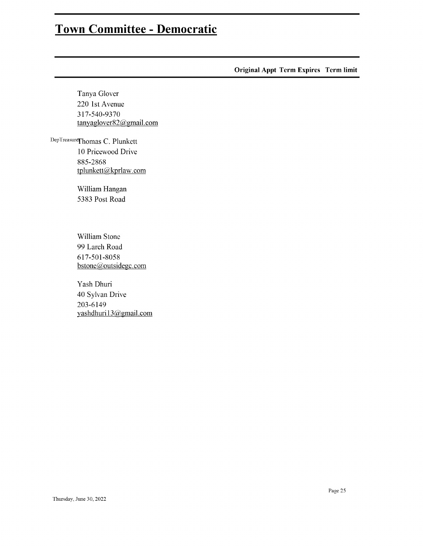Original Appt Term Expires Term limit

Tanya Glover 220 1st Avenue 317-540-9370 tanyaglover82@gmail.com

 $\mathcal{Z}$ 10 Pricewood Drive 885-2868 tplunkett@kprlaw.com

> William Hangan 5383 Post Road

William Stone 99 Larch Road 617-501-8058 bstone@outsidegc.com

Yash Dhuri 40 Sylvan Drive 203-6149 yashdhuri13@gmail.com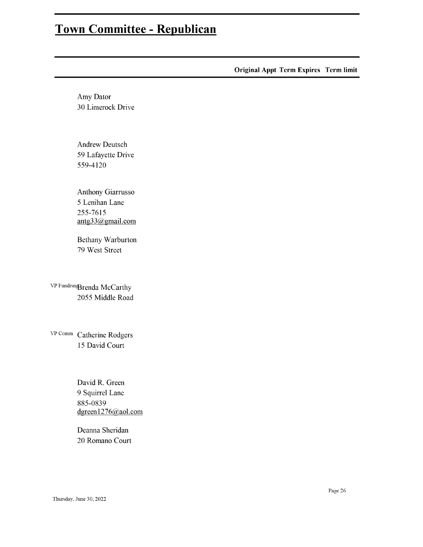Original Appt Term Expires Term limit

Amy Dator 30 Limerock Drive

Andrew Deutsch 59 Lafayette Drive 559-4120

Anthony Giarrusso 5 Lenihan Lane 255-7615 antg33@gmail.com

Bethany Warburton 79 West Street

VP Fundrsn<sub>g</sub>Brenda McCarthy 2055 Middle Road

VP Comm Catherine Rodgers 15 David Court

> David R. Green 9 Squirrel Lane 885-0839 dgreen1276@aol.com

Deanna Sheridan 20 Romano Court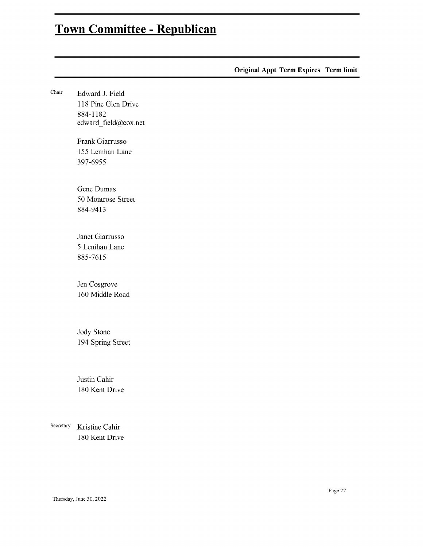|           |                                                 | <b>Original Appt Term Expires Term limit</b> |  |
|-----------|-------------------------------------------------|----------------------------------------------|--|
| Chair     | Edward J. Field<br>118 Pine Glen Drive          |                                              |  |
|           | 884-1182<br>edward_field@cox.net                |                                              |  |
|           | Frank Giarrusso<br>155 Lenihan Lane<br>397-6955 |                                              |  |
|           | Gene Dumas<br>50 Montrose Street<br>884-9413    |                                              |  |
|           | Janet Giarrusso<br>5 Lenihan Lane<br>885-7615   |                                              |  |
|           | Jen Cosgrove<br>160 Middle Road                 |                                              |  |
|           | Jody Stone<br>194 Spring Street                 |                                              |  |
|           | Justin Cahir<br>180 Kent Drive                  |                                              |  |
| Secretary | Kristine Cahir<br>180 Kent Drive                |                                              |  |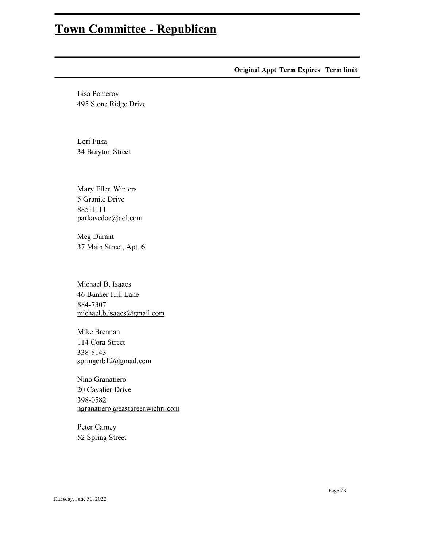**Original Appt Term Expires Term limit** 

Lisa Pomeroy 495 Stone Ridge Drive

Lori Fuka 34 Brayton Street

Mary Ellen Winters 5 Granite Drive 885-1111 parkavedoc@aol.com

Meg Durant 37 Main Street, Apt. 6

Michael B. Isaacs 46 Bunker Hill Lane 884-7307 michael.b.isaacs@gmail.com

Mike Brennan 114 Cora Street 338-8143 springerb $12@$ gmail.com

Nino Granatiero 20 Cavalier Drive 398-0582 ngranatiero@eastgreenwichri.com

Peter Carney 52 Spring Street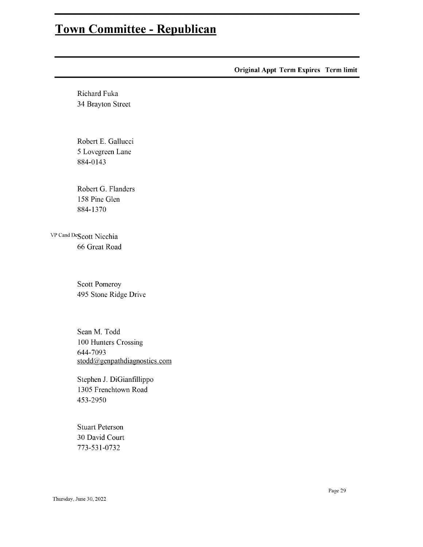**Original Appt Term Expires Term limit** Richard Fuka 34 Brayton Street  $\mathbf{u}$ 5 Lovegreen Lane 884-0143 Robert G. Flanders 158 Pine Glen 884-1370 VP Cand DeScott Nicchia 66 Great Road **Scott Pomeroy** 495 Stone Ridge Drive Sean M. Todd 100 Hunters Crossing 644-7093 stodd@genpathdiagnostics.com Stephen J. DiGianfillippo 1305 Frenchtown Road 453-2950 **Stuart Peterson** 30 David Court 773-531-0732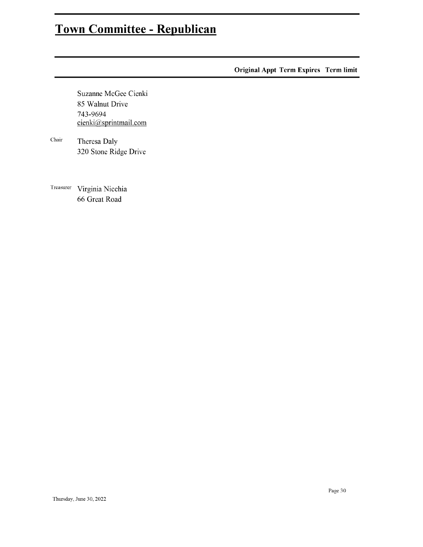**Original Appt Term Expires Term limit** 

Suzanne McGee Cienki 85 Walnut Drive 743-9694 cienki@sprintmail.com

 ${\it Chair}$ Theresa Daly 320 Stone Ridge Drive

Treasurer Virginia Nicchia 66 Great Road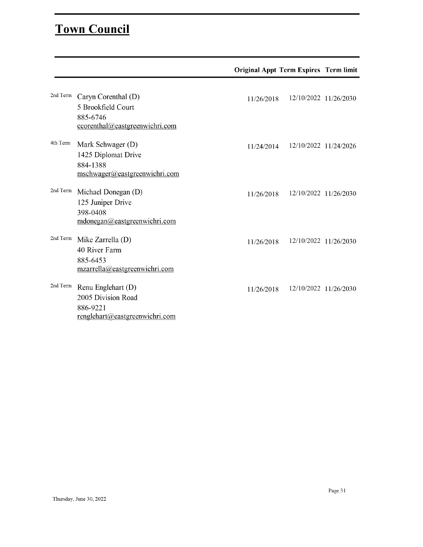### Town Council

|          |                                                                                                                       | <b>Original Appt Term Expires Term limit</b> |                       |
|----------|-----------------------------------------------------------------------------------------------------------------------|----------------------------------------------|-----------------------|
| 2nd Term | Caryn Corenthal (D)<br>5 Brookfield Court<br>885-6746                                                                 | 11/26/2018                                   | 12/10/2022 11/26/2030 |
| 4th Term | ccorenthal@eastgreenwichri.com<br>Mark Schwager (D)<br>1425 Diplomat Drive<br>884-1388                                | 11/24/2014                                   | 12/10/2022 11/24/2026 |
| 2nd Term | mschwager@eastgreenwichri.com<br>Michael Donegan (D)<br>125 Juniper Drive<br>398-0408<br>mdonegan@eastgreenwichri.com | 11/26/2018                                   | 12/10/2022 11/26/2030 |
| 2nd Term | Mike Zarrella (D)<br>40 River Farm<br>885-6453<br>mzarrella@eastgreenwichri.com                                       | 11/26/2018                                   | 12/10/2022 11/26/2030 |
| 2nd Term | Renu Englehart (D)<br>2005 Division Road<br>886-9221<br>renglehart@eastgreenwichri.com                                | 11/26/2018                                   | 12/10/2022 11/26/2030 |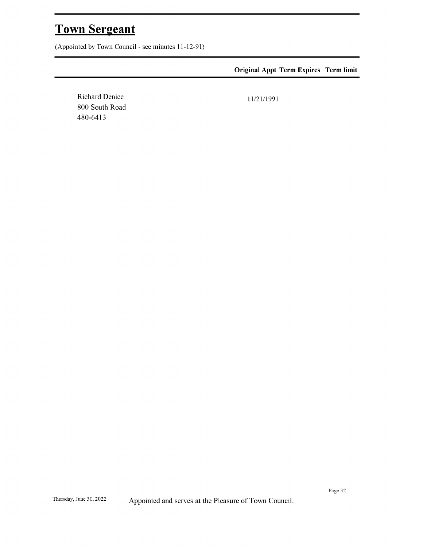Thursday, Town June 30, 2022 Sergeant Appointed andserves atthePleasure ofTown Council. es arranches :

**Original Appt Term Expires Term limit** 

**Richard Denice** 800 South Road 480-6413

11/21/1991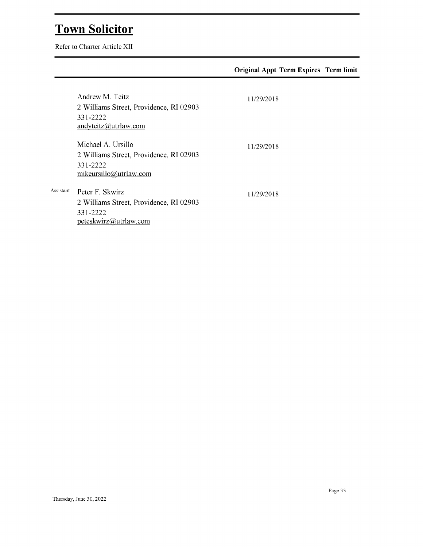# Town Solicitor<br>Refer to Charter Article XII

|           |                                                                                                     | <b>Original Appt Term Expires Term limit</b> |  |
|-----------|-----------------------------------------------------------------------------------------------------|----------------------------------------------|--|
|           | Andrew M. Teitz<br>2 Williams Street, Providence, RI 02903<br>331-2222<br>andyteitz@utrlaw.com      | 11/29/2018                                   |  |
|           | Michael A. Ursillo<br>2 Williams Street, Providence, RI 02903<br>331-2222<br>mikeursillo@utrlaw.com | 11/29/2018                                   |  |
| Assistant | Peter F. Skwirz<br>2 Williams Street, Providence, RI 02903<br>331-2222<br>peteskwirz@utrlaw.com     | 11/29/2018                                   |  |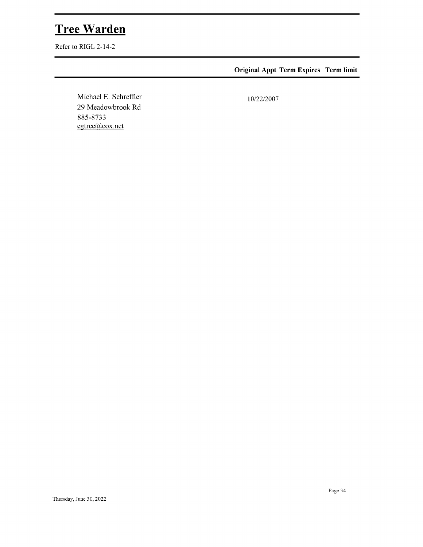# Tree Warden<br>Refer to RIGL 2-14-2

**Original Appt Term Expires Term limit** 

Michael E. Schreffler<br>29 Meadowbrook Rd 885-8733 egtree@cox.net

10/22/2007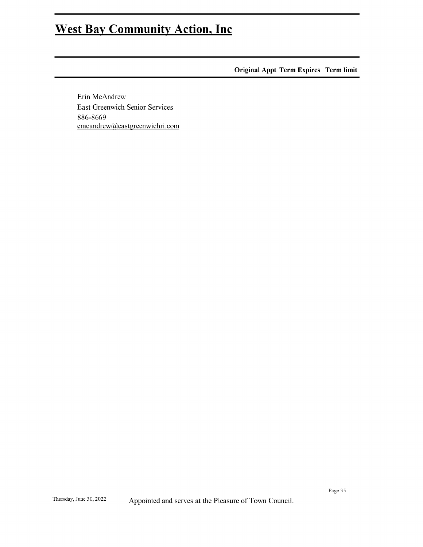## West Bay Community Action, Inc

**Original Appt Term Expires Term limit** 

Erin McAndrew East Greenwich Senior Services 886-8669 emcandrew@eastgreenwichri.com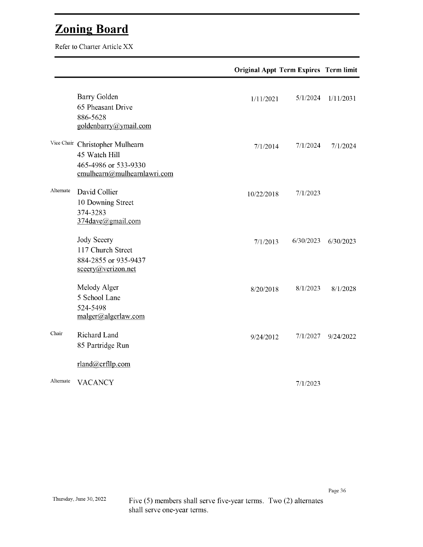$\overline{B}$ 

|           |                                                                                                         | <b>Original Appt Term Expires Term limit</b> |           |           |
|-----------|---------------------------------------------------------------------------------------------------------|----------------------------------------------|-----------|-----------|
|           | <b>Barry Golden</b><br>65 Pheasant Drive<br>886-5628<br>goldenbarry@ymail.com                           | 1/11/2021                                    | 5/1/2024  | 1/11/2031 |
|           | Vice Chair Christopher Mulhearn<br>45 Watch Hill<br>465-4986 or 533-9330<br>cmulhearn@mulhearnlawri.com | 7/1/2014                                     | 7/1/2024  | 7/1/2024  |
| Alternate | David Collier<br>10 Downing Street<br>374-3283<br>374dave@gmail.com                                     | 10/22/2018                                   | 7/1/2023  |           |
|           | Jody Sceery<br>117 Church Street<br>884-2855 or 935-9437<br>sceery@verizon.net                          | 7/1/2013                                     | 6/30/2023 | 6/30/2023 |
|           | Melody Alger<br>5 School Lane<br>524-5498<br>malger@algerlaw.com                                        | 8/20/2018                                    | 8/1/2023  | 8/1/2028  |
| Chair     | Richard Land<br>85 Partridge Run                                                                        | 9/24/2012                                    | 7/1/2027  | 9/24/2022 |
|           | rland@crfllp.com                                                                                        |                                              |           |           |
| Alternate | <b>VACANCY</b>                                                                                          |                                              | 7/1/2023  |           |

Five (5) members shall serve five-year terms. Two (2) alternates shall serve one-year terms.